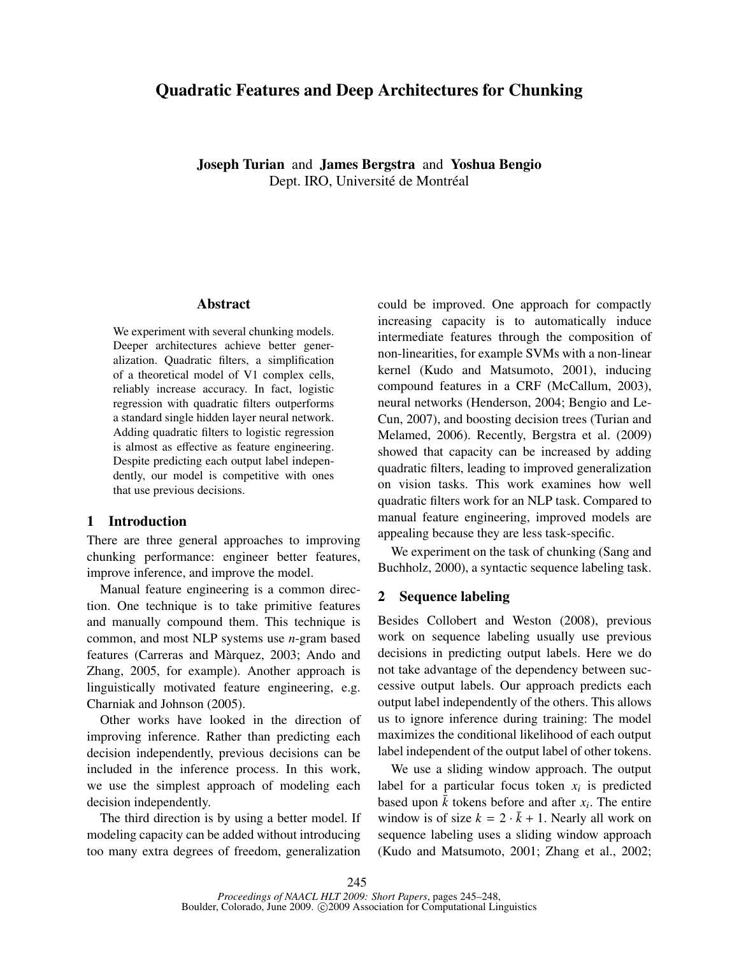# Quadratic Features and Deep Architectures for Chunking

Joseph Turian and James Bergstra and Yoshua Bengio Dept. IRO, Université de Montréal

#### Abstract

We experiment with several chunking models. Deeper architectures achieve better generalization. Quadratic filters, a simplification of a theoretical model of V1 complex cells, reliably increase accuracy. In fact, logistic regression with quadratic filters outperforms a standard single hidden layer neural network. Adding quadratic filters to logistic regression is almost as effective as feature engineering. Despite predicting each output label independently, our model is competitive with ones that use previous decisions.

# 1 Introduction

There are three general approaches to improving chunking performance: engineer better features, improve inference, and improve the model.

Manual feature engineering is a common direction. One technique is to take primitive features and manually compound them. This technique is common, and most NLP systems use *n*-gram based features (Carreras and Marquez, 2003; Ando and ` Zhang, 2005, for example). Another approach is linguistically motivated feature engineering, e.g. Charniak and Johnson (2005).

Other works have looked in the direction of improving inference. Rather than predicting each decision independently, previous decisions can be included in the inference process. In this work, we use the simplest approach of modeling each decision independently.

The third direction is by using a better model. If modeling capacity can be added without introducing too many extra degrees of freedom, generalization could be improved. One approach for compactly increasing capacity is to automatically induce intermediate features through the composition of non-linearities, for example SVMs with a non-linear kernel (Kudo and Matsumoto, 2001), inducing compound features in a CRF (McCallum, 2003), neural networks (Henderson, 2004; Bengio and Le-Cun, 2007), and boosting decision trees (Turian and Melamed, 2006). Recently, Bergstra et al. (2009) showed that capacity can be increased by adding quadratic filters, leading to improved generalization on vision tasks. This work examines how well quadratic filters work for an NLP task. Compared to manual feature engineering, improved models are appealing because they are less task-specific.

We experiment on the task of chunking (Sang and Buchholz, 2000), a syntactic sequence labeling task.

# 2 Sequence labeling

Besides Collobert and Weston (2008), previous work on sequence labeling usually use previous decisions in predicting output labels. Here we do not take advantage of the dependency between successive output labels. Our approach predicts each output label independently of the others. This allows us to ignore inference during training: The model maximizes the conditional likelihood of each output label independent of the output label of other tokens.

We use a sliding window approach. The output label for a particular focus token  $x_i$  is predicted based upon  $\bar{k}$  tokens before and after  $x_i$ . The entire window is of size  $k = 2 \cdot \bar{k} + 1$ . Nearly all work on sequence labeling uses a sliding window approach (Kudo and Matsumoto, 2001; Zhang et al., 2002;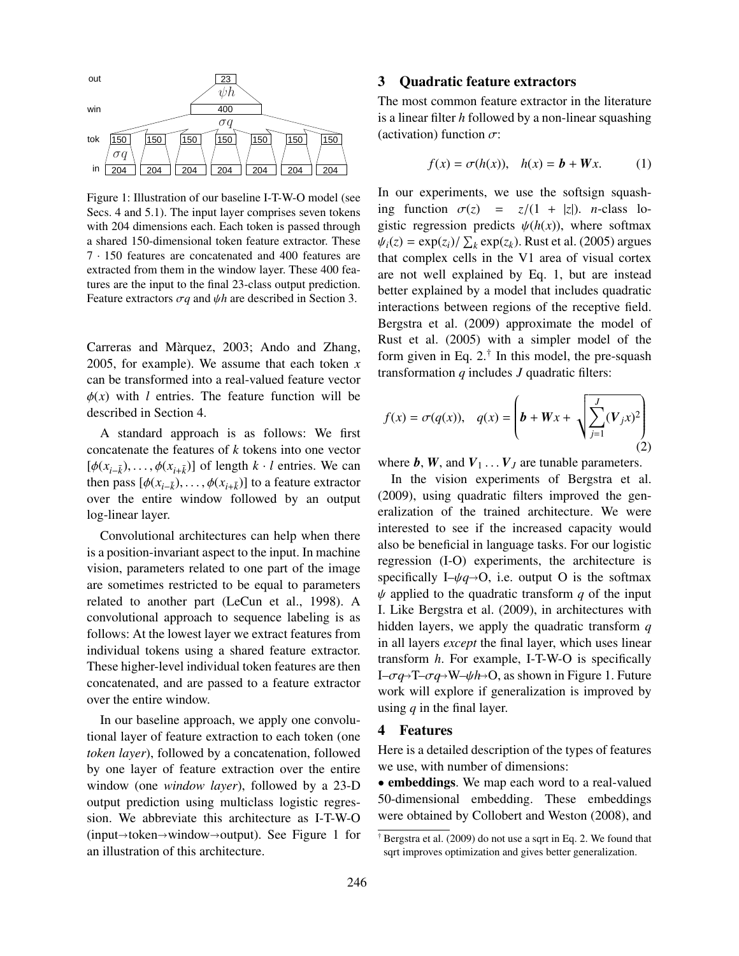

Figure 1: Illustration of our baseline I-T-W-O model (see Secs. 4 and 5.1). The input layer comprises seven tokens with 204 dimensions each. Each token is passed through a shared 150-dimensional token feature extractor. These 7 · 150 features are concatenated and 400 features are extracted from them in the window layer. These 400 features are the input to the final 23-class output prediction. Feature extractors σ*<sup>q</sup>* and ψ*<sup>h</sup>* are described in Section 3.

Carreras and Màrquez, 2003; Ando and Zhang, 2005, for example). We assume that each token *x* can be transformed into a real-valued feature vector  $\phi(x)$  with *l* entries. The feature function will be described in Section 4.

A standard approach is as follows: We first concatenate the features of *k* tokens into one vector  $[\phi(x_{i-\overline{k}}), \dots, \phi(x_{i+\overline{k}})]$  of length  $k \cdot l$  entries. We can<br>then pass  $[\phi(x_{i-1}) \dots \phi(x_{i-1})]$  to a feature extractor then pass  $[\phi(x_{i-\overline{k}}), \dots, \phi(x_{i+\overline{k}})]$  to a feature extractor<br>over the entire window followed by an output over the entire window followed by an output log-linear layer.

Convolutional architectures can help when there is a position-invariant aspect to the input. In machine vision, parameters related to one part of the image are sometimes restricted to be equal to parameters related to another part (LeCun et al., 1998). A convolutional approach to sequence labeling is as follows: At the lowest layer we extract features from individual tokens using a shared feature extractor. These higher-level individual token features are then concatenated, and are passed to a feature extractor over the entire window.

In our baseline approach, we apply one convolutional layer of feature extraction to each token (one *token layer*), followed by a concatenation, followed by one layer of feature extraction over the entire window (one *window layer*), followed by a 23-D output prediction using multiclass logistic regression. We abbreviate this architecture as I-T-W-O  $(input \rightarrow token \rightarrow window \rightarrow output)$ . See Figure 1 for an illustration of this architecture.

#### 3 Quadratic feature extractors

The most common feature extractor in the literature is a linear filter *h* followed by a non-linear squashing (activation) function  $\sigma$ :

$$
f(x) = \sigma(h(x)), \quad h(x) = b + Wx. \tag{1}
$$

In our experiments, we use the softsign squashing function  $\sigma(z) = z/(1 + |z|)$ . *n*-class logistic regression predicts  $\psi(h(x))$ , where softmax  $\psi_i(z) = \exp(z_i) / \sum_k \exp(z_k)$ . Rust et al. (2005) argues<br>that complex cells in the V1 area of visual cortex that complex cells in the V1 area of visual cortex are not well explained by Eq. 1, but are instead better explained by a model that includes quadratic interactions between regions of the receptive field. Bergstra et al. (2009) approximate the model of Rust et al. (2005) with a simpler model of the form given in Eq. 2.† In this model, the pre-squash transformation *q* includes *J* quadratic filters:

$$
f(x) = \sigma(q(x)), \quad q(x) = \left(b + Wx + \sqrt{\sum_{j=1}^{J} (V_j x)^2}\right)
$$
\n(2)

where  $\boldsymbol{b}$ ,  $\boldsymbol{W}$ , and  $\boldsymbol{V}_1 \ldots \boldsymbol{V}_J$  are tunable parameters.

In the vision experiments of Bergstra et al. (2009), using quadratic filters improved the generalization of the trained architecture. We were interested to see if the increased capacity would also be beneficial in language tasks. For our logistic regression (I-O) experiments, the architecture is specifically I– $\psi q \rightarrow O$ , i.e. output O is the softmax  $\psi$  applied to the quadratic transform *q* of the input I. Like Bergstra et al. (2009), in architectures with hidden layers, we apply the quadratic transform *q* in all layers *except* the final layer, which uses linear transform *h*. For example, I-T-W-O is specifically  $I-\sigma q \rightarrow T-\sigma q \rightarrow W-\psi h \rightarrow O$ , as shown in Figure 1. Future work will explore if generalization is improved by using *q* in the final layer.

# 4 Features

Here is a detailed description of the types of features we use, with number of dimensions:

• embeddings. We map each word to a real-valued 50-dimensional embedding. These embeddings were obtained by Collobert and Weston (2008), and

<sup>†</sup> Bergstra et al. (2009) do not use a sqrt in Eq. 2. We found that sqrt improves optimization and gives better generalization.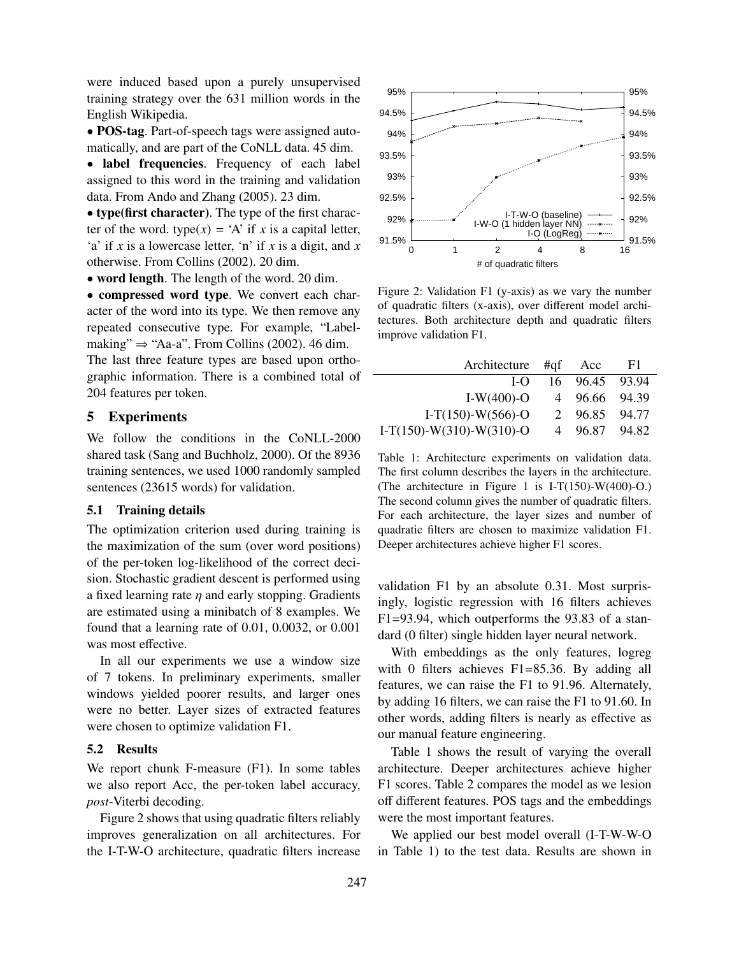were induced based upon a purely unsupervised training strategy over the 631 million words in the English Wikipedia.

• POS-tag. Part-of-speech tags were assigned automatically, and are part of the CoNLL data. 45 dim.

• label frequencies. Frequency of each label assigned to this word in the training and validation data. From Ando and Zhang (2005). 23 dim.

• type(first character). The type of the first character of the word. type $(x) = A'$  if *x* is a capital letter, 'a' if *x* is a lowercase letter, 'n' if *x* is a digit, and *x* otherwise. From Collins (2002). 20 dim.

• word length. The length of the word. 20 dim.

• compressed word type. We convert each character of the word into its type. We then remove any repeated consecutive type. For example, "Labelmaking"  $\Rightarrow$  "Aa-a". From Collins (2002). 46 dim.

The last three feature types are based upon orthographic information. There is a combined total of 204 features per token.

# 5 Experiments

We follow the conditions in the CoNLL-2000 shared task (Sang and Buchholz, 2000). Of the 8936 training sentences, we used 1000 randomly sampled sentences (23615 words) for validation.

### 5.1 Training details

The optimization criterion used during training is the maximization of the sum (over word positions) of the per-token log-likelihood of the correct decision. Stochastic gradient descent is performed using a fixed learning rate  $\eta$  and early stopping. Gradients are estimated using a minibatch of 8 examples. We found that a learning rate of 0.01, 0.0032, or 0.001 was most effective.

In all our experiments we use a window size of 7 tokens. In preliminary experiments, smaller windows yielded poorer results, and larger ones were no better. Layer sizes of extracted features were chosen to optimize validation F1.

### 5.2 Results

We report chunk F-measure (F1). In some tables we also report Acc, the per-token label accuracy, *post*-Viterbi decoding.

Figure 2 shows that using quadratic filters reliably improves generalization on all architectures. For the I-T-W-O architecture, quadratic filters increase



Figure 2: Validation F1 (y-axis) as we vary the number of quadratic filters (x-axis), over different model architectures. Both architecture depth and quadratic filters improve validation F1.

| Architecture #qf           | Acc           | F1    |
|----------------------------|---------------|-------|
| LO                         | 16 96.45      | 93.94 |
| I-W $(400)$ -O             | 4 96.66 94.39 |       |
| $I-T(150)-W(566)-O$        | 2 96.85       | 94.77 |
| $I-T(150)-W(310)-W(310)-O$ | 4 96.87       | 94.82 |
|                            |               |       |

Table 1: Architecture experiments on validation data. The first column describes the layers in the architecture. (The architecture in Figure 1 is I-T(150)-W(400)-O.) The second column gives the number of quadratic filters. For each architecture, the layer sizes and number of quadratic filters are chosen to maximize validation F1. Deeper architectures achieve higher F1 scores.

validation F1 by an absolute 0.31. Most surprisingly, logistic regression with 16 filters achieves F1=93.94, which outperforms the 93.83 of a standard (0 filter) single hidden layer neural network.

With embeddings as the only features, logreg with 0 filters achieves F1=85.36. By adding all features, we can raise the F1 to 91.96. Alternately, by adding 16 filters, we can raise the F1 to 91.60. In other words, adding filters is nearly as effective as our manual feature engineering.

Table 1 shows the result of varying the overall architecture. Deeper architectures achieve higher F1 scores. Table 2 compares the model as we lesion off different features. POS tags and the embeddings were the most important features.

We applied our best model overall (I-T-W-W-O in Table 1) to the test data. Results are shown in